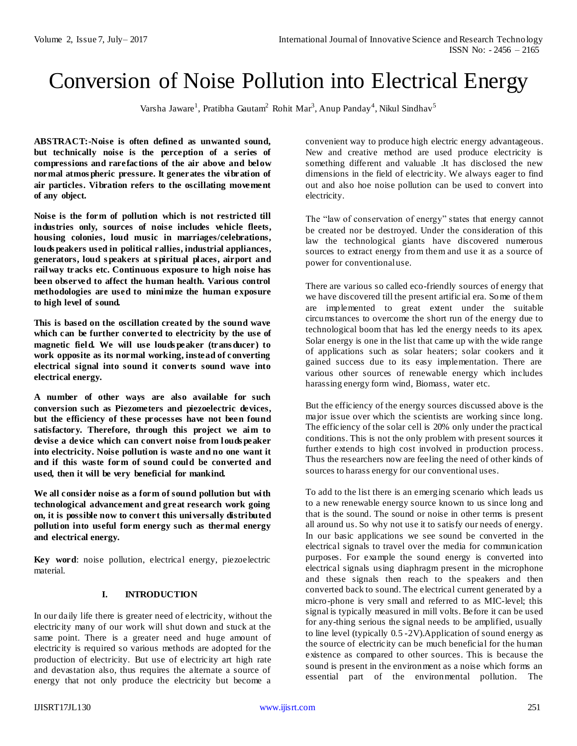# Conversion of Noise Pollution into Electrical Energy

Varsha Jaware<sup>1</sup>, Pratibha Gautam<sup>2</sup> Rohit Mar<sup>3</sup>, Anup Panday<sup>4</sup>, Nikul Sindhav<sup>5</sup>

**ABSTRACT:-Noise is often defined as unwanted sound, but technically noise is the perception of a series of compressions and rarefactions of the air above and below normal atmos pheric pressure. It generates the vibration of air particles. Vibration refers to the oscillating movement of any object.**

**Noise is the form of pollution which is not restricted till industries only, sources of noise includes vehicle fleets, housing colonies, loud music in marriages/celebrations, louds peakers used in political rallies, industrial appliances, generators, loud s peakers at s piritual places, airport and railway tracks etc. Continuous exposure to high noise has been observed to affect the human health. Various control methodologies are used to minimize the human exposure to high level of sound.** 

**This is based on the oscillation created by the sound wave which can be further converted to electricity by the use of magnetic field. We will use louds peaker (trans ducer) to work opposite as its normal working, instead of converting electrical signal into sound it converts sound wave into electrical energy.**

**A number of other ways are also available for such conversion such as Piezometers and piezoelectric devices, but the efficiency of these processes have not been found satisfactory. Therefore, through this project we aim to devise a device which can convert noise from louds peaker into electricity. Noise pollution is waste and no one want it and if this waste form of sound could be converted and used, then it will be very beneficial for mankind.**

**We all consider noise as a form of sound pollution but with technological advancement and great research work going on, it is possible now to convert this universally distributed pollution into useful form energy such as thermal energy and electrical energy.**

**Key word**: noise pollution, electrical energy, piezoelectric material.

#### **I. INTRODUCTION**

In our daily life there is greater need of electricity, without the electricity many of our work will shut down and stuck at the same point. There is a greater need and huge amount of electricity is required so various methods are adopted for the production of electricity. But use of electricity art high rate and devastation also, thus requires the alternate a source of energy that not only produce the electricity but become a convenient way to produce high electric energy advantageous. New and creative method are used produce electricity is something different and valuable .It has disclosed the new dimensions in the field of electricity. We always eager to find out and also hoe noise pollution can be used to convert into electricity.

The "law of conservation of energy" states that energy cannot be created nor be destroyed. Under the consideration of this law the technological giants have discovered numerous sources to extract energy from them and use it as a source of power for conventional use.

There are various so called eco-friendly sources of energy that we have discovered till the present artificial era. Some of them are implemented to great extent under the suitable circumstances to overcome the short run of the energy due to technological boom that has led the energy needs to its apex. Solar energy is one in the list that came up with the wide range of applications such as solar heaters; solar cookers and it gained success due to its easy implementation. There are various other sources of renewable energy which includes harassing energy form wind, Biomass, water etc.

But the efficiency of the energy sources discussed above is the major issue over which the scientists are working since long. The efficiency of the solar cell is 20% only under the practical conditions. This is not the only problem with present sources it further extends to high cost involved in production process. Thus the researchers now are feeling the need of other kinds of sources to harass energy for our conventional uses.

To add to the list there is an emerging scenario which leads us to a new renewable energy source known to us since long and that is the sound. The sound or noise in other terms is present all around us. So why not use it to satisfy our needs of energy. In our basic applications we see sound be converted in the electrical signals to travel over the media for communication purposes. For example the sound energy is converted into electrical signals using diaphragm present in the microphone and these signals then reach to the speakers and then converted back to sound. The electrical current generated by a micro-phone is very small and referred to as MIC-level; this signal is typically measured in mill volts. Before it can be used for any-thing serious the signal needs to be amplified, usually to line level (typically 0.5 -2V).Application of sound energy as the source of electricity can be much beneficial for the human existence as compared to other sources. This is because the sound is present in the environment as a noise which forms an essential part of the environmental pollution. The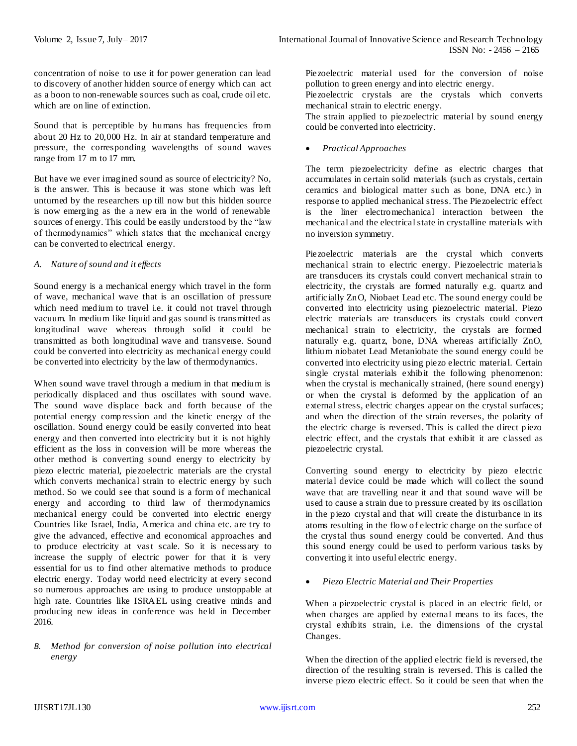concentration of noise to use it for power generation can lead to discovery of another hidden source of energy which can act as a boon to non-renewable sources such as coal, crude oil etc. which are on line of extinction.

Sound that is perceptible by humans has frequencies from about 20 Hz to 20,000 Hz. In air at standard temperature and pressure, the corresponding wavelengths of sound waves range from 17 m to 17 mm.

But have we ever imagined sound as source of electricity? No, is the answer. This is because it was stone which was left unturned by the researchers up till now but this hidden source is now emerging as the a new era in the world of renewable sources of energy. This could be easily understood by the "law of thermodynamics" which states that the mechanical energy can be converted to electrical energy.

# *A. Nature of sound and it effects*

Sound energy is a mechanical energy which travel in the form of wave, mechanical wave that is an oscillation of pressure which need medium to travel i.e. it could not travel through vacuum. In medium like liquid and gas sound is transmitted as longitudinal wave whereas through solid it could be transmitted as both longitudinal wave and transverse. Sound could be converted into electricity as mechanical energy could be converted into electricity by the law of thermodynamics.

When sound wave travel through a medium in that medium is periodically displaced and thus oscillates with sound wave. The sound wave displace back and forth because of the potential energy compression and the kinetic energy of the oscillation. Sound energy could be easily converted into heat energy and then converted into electricity but it is not highly efficient as the loss in conversion will be more whereas the other method is converting sound energy to electricity by piezo electric material, piezoelectric materials are the crystal which converts mechanical strain to electric energy by such method. So we could see that sound is a form of mechanical energy and according to third law of thermodynamics mechanical energy could be converted into electric energy Countries like Israel, India, America and china etc. are try to give the advanced, effective and economical approaches and to produce electricity at vast scale. So it is necessary to increase the supply of electric power for that it is very essential for us to find other alternative methods to produce electric energy. Today world need electricity at every second so numerous approaches are using to produce unstoppable at high rate. Countries like ISRAEL using creative minds and producing new ideas in conference was held in December 2016.

## *B. Method for conversion of noise pollution into electrical energy*

Piezoelectric material used for the conversion of noise pollution to green energy and into electric energy.

Piezoelectric crystals are the crystals which converts mechanical strain to electric energy.

The strain applied to piezoelectric material by sound energy could be converted into electricity.

*Practical Approaches*

The term piezoelectricity define as electric charges that accumulates in certain solid materials (such as crystals, certain ceramics and biological matter such as bone, DNA etc.) in response to applied mechanical stress. The Piezoelectric effect is the liner electromechanical interaction between the mechanical and the electrical state in crystalline materials with no inversion symmetry.

Piezoelectric materials are the crystal which converts mechanical strain to electric energy. Piezoelectric materials are transducers its crystals could convert mechanical strain to electricity, the crystals are formed naturally e.g. quartz and artificially ZnO, Niobaet Lead etc. The sound energy could be converted into electricity using piezoelectric material. Piezo electric materials are transducers its crystals could convert mechanical strain to electricity, the crystals are formed naturally e.g. quartz, bone, DNA whereas artificially ZnO, lithium niobatet Lead Metaniobate the sound energy could be converted into electricity using piezo electric material. Certain single crystal materials exhibit the following phenomenon: when the crystal is mechanically strained, (here sound energy) or when the crystal is deformed by the application of an external stress, electric charges appear on the crystal surfaces; and when the direction of the strain reverses, the polarity of the electric charge is reversed. This is called the direct piezo electric effect, and the crystals that exhibit it are classed as piezoelectric crystal.

Converting sound energy to electricity by piezo electric material device could be made which will collect the sound wave that are travelling near it and that sound wave will be used to cause a strain due to pressure created by its oscillation in the piezo crystal and that will create the disturbance in its atoms resulting in the flow of electric charge on the surface of the crystal thus sound energy could be converted. And thus this sound energy could be used to perform various tasks by converting it into useful electric energy.

*Piezo Electric Material and Their Properties*

When a piezoelectric crystal is placed in an electric field, or when charges are applied by external means to its faces, the crystal exhibits strain, i.e. the dimensions of the crystal Changes.

When the direction of the applied electric field is reversed, the direction of the resulting strain is reversed. This is called the inverse piezo electric effect. So it could be seen that when the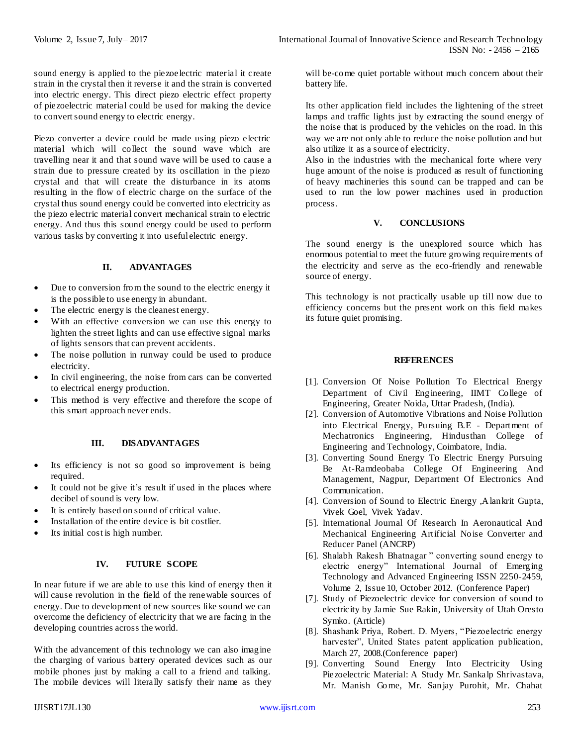sound energy is applied to the piezoelectric material it create strain in the crystal then it reverse it and the strain is converted into electric energy. This direct piezo electric effect property of piezoelectric material could be used for making the device to convert sound energy to electric energy.

Piezo converter a device could be made using piezo electric material which will collect the sound wave which are travelling near it and that sound wave will be used to cause a strain due to pressure created by its oscillation in the piezo crystal and that will create the disturbance in its atoms resulting in the flow of electric charge on the surface of the crystal thus sound energy could be converted into electricity as the piezo electric material convert mechanical strain to electric energy. And thus this sound energy could be used to perform various tasks by converting it into useful electric energy.

# **II. ADVANTAGES**

- Due to conversion from the sound to the electric energy it is the possible to use energy in abundant.
- The electric energy is the cleanest energy.
- With an effective conversion we can use this energy to lighten the street lights and can use effective signal marks of lights sensors that can prevent accidents.
- The noise pollution in runway could be used to produce electricity.
- In civil engineering, the noise from cars can be converted to electrical energy production.
- This method is very effective and therefore the scope of this smart approach never ends.

#### **III. DISADVANTAGES**

- Its efficiency is not so good so improvement is being required.
- It could not be give it's result if used in the places where decibel of sound is very low.
- It is entirely based on sound of critical value.
- Installation of the entire device is bit costlier.
- Its initial cost is high number.

## **IV. FUTURE SCOPE**

In near future if we are able to use this kind of energy then it will cause revolution in the field of the renewable sources of energy. Due to development of new sources like sound we can overcome the deficiency of electricity that we are facing in the developing countries across the world.

With the advancement of this technology we can also imagine the charging of various battery operated devices such as our mobile phones just by making a call to a friend and talking. The mobile devices will literally satisfy their name as they

will be-come quiet portable without much concern about their battery life.

Its other application field includes the lightening of the street lamps and traffic lights just by extracting the sound energy of the noise that is produced by the vehicles on the road. In this way we are not only able to reduce the noise pollution and but also utilize it as a source of electricity.

Also in the industries with the mechanical forte where very huge amount of the noise is produced as result of functioning of heavy machineries this sound can be trapped and can be used to run the low power machines used in production process.

# **V. CONCLUSIONS**

The sound energy is the unexplored source which has enormous potential to meet the future growing requirements of the electricity and serve as the eco-friendly and renewable source of energy.

This technology is not practically usable up till now due to efficiency concerns but the present work on this field makes its future quiet promising.

## **REFERENCES**

- [1]. Conversion Of Noise Pollution To Electrical Energy Department of Civil Engineering, IIMT College of Engineering, Greater Noida, Uttar Pradesh, (India).
- [2]. Conversion of Automotive Vibrations and Noise Pollution into Electrical Energy, Pursuing B.E - Department of Mechatronics Engineering, Hindusthan College of Engineering and Technology, Coimbatore, India.
- [3]. Converting Sound Energy To Electric Energy Pursuing Be At-Ramdeobaba College Of Engineering And Management, Nagpur, Department Of Electronics And Communication.
- [4]. Conversion of Sound to Electric Energy ,Alankrit Gupta, Vivek Goel, Vivek Yadav.
- [5]. International Journal Of Research In Aeronautical And Mechanical Engineering Artificial Noise Converter and Reducer Panel (ANCRP)
- [6]. Shalabh Rakesh Bhatnagar " converting sound energy to electric energy" International Journal of Emerging Technology and Advanced Engineering ISSN 2250-2459, Volume 2, Issue 10, October 2012. (Conference Paper)
- [7]. Study of Piezoelectric device for conversion of sound to electricity by Jamie Sue Rakin, University of Utah Oresto Symko. (Article)
- [8]. Shashank Priya, Robert. D. Myers, "Piezoelectric energy harvester", United States patent application publication, March 27, 2008.(Conference paper)
- [9]. Converting Sound Energy Into Electricity Using Piezoelectric Material: A Study Mr. Sankalp Shrivastava, Mr. Manish Gome, Mr. Sanjay Purohit, Mr. Chahat